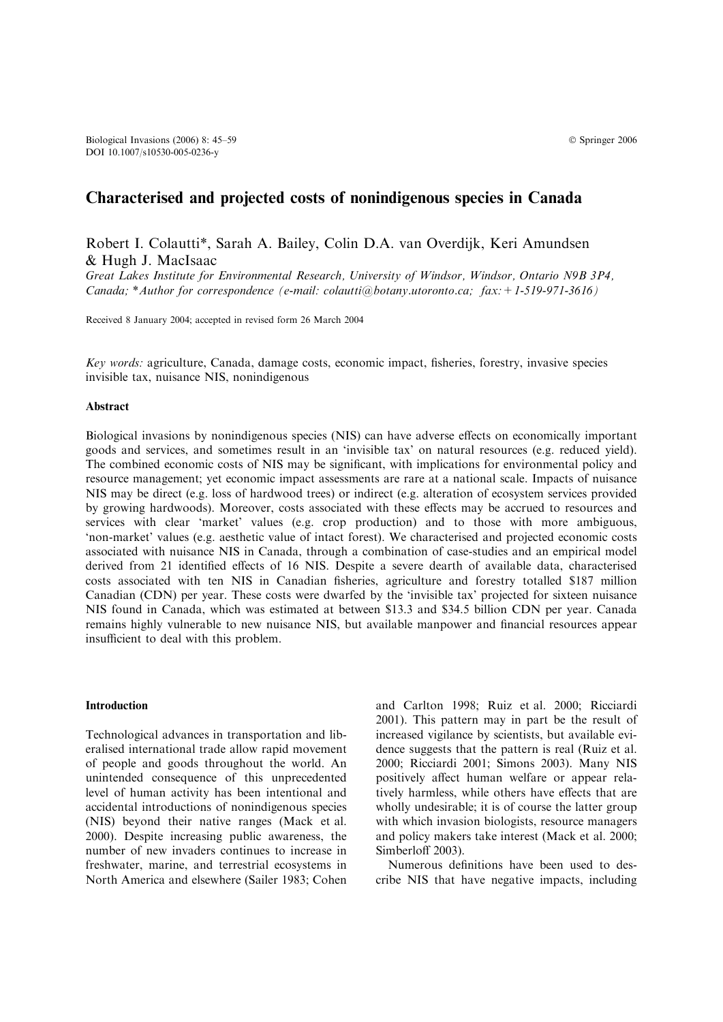# Characterised and projected costs of nonindigenous species in Canada

## Robert I. Colautti\*, Sarah A. Bailey, Colin D.A. van Overdijk, Keri Amundsen & Hugh J. MacIsaac

Great Lakes Institute for Environmental Research, University of Windsor, Windsor, Ontario N9B 3P4, Canada; \*Author for correspondence (e-mail: colautti@botany.utoronto.ca; fax:+1-519-971-3616)

Received 8 January 2004; accepted in revised form 26 March 2004

Key words: agriculture, Canada, damage costs, economic impact, fisheries, forestry, invasive species invisible tax, nuisance NIS, nonindigenous

## Abstract

Biological invasions by nonindigenous species (NIS) can have adverse effects on economically important goods and services, and sometimes result in an 'invisible tax' on natural resources (e.g. reduced yield). The combined economic costs of NIS may be significant, with implications for environmental policy and resource management; yet economic impact assessments are rare at a national scale. Impacts of nuisance NIS may be direct (e.g. loss of hardwood trees) or indirect (e.g. alteration of ecosystem services provided by growing hardwoods). Moreover, costs associated with these effects may be accrued to resources and services with clear 'market' values (e.g. crop production) and to those with more ambiguous, 'non-market' values (e.g. aesthetic value of intact forest). We characterised and projected economic costs associated with nuisance NIS in Canada, through a combination of case-studies and an empirical model derived from 21 identified effects of 16 NIS. Despite a severe dearth of available data, characterised costs associated with ten NIS in Canadian fisheries, agriculture and forestry totalled \$187 million Canadian (CDN) per year. These costs were dwarfed by the 'invisible tax' projected for sixteen nuisance NIS found in Canada, which was estimated at between \$13.3 and \$34.5 billion CDN per year. Canada remains highly vulnerable to new nuisance NIS, but available manpower and financial resources appear insufficient to deal with this problem.

#### Introduction

Technological advances in transportation and liberalised international trade allow rapid movement of people and goods throughout the world. An unintended consequence of this unprecedented level of human activity has been intentional and accidental introductions of nonindigenous species (NIS) beyond their native ranges (Mack et al. 2000). Despite increasing public awareness, the number of new invaders continues to increase in freshwater, marine, and terrestrial ecosystems in North America and elsewhere (Sailer 1983; Cohen and Carlton 1998; Ruiz et al. 2000; Ricciardi 2001). This pattern may in part be the result of increased vigilance by scientists, but available evidence suggests that the pattern is real (Ruiz et al. 2000; Ricciardi 2001; Simons 2003). Many NIS positively affect human welfare or appear relatively harmless, while others have effects that are wholly undesirable; it is of course the latter group with which invasion biologists, resource managers and policy makers take interest (Mack et al. 2000; Simberloff 2003).

Numerous definitions have been used to describe NIS that have negative impacts, including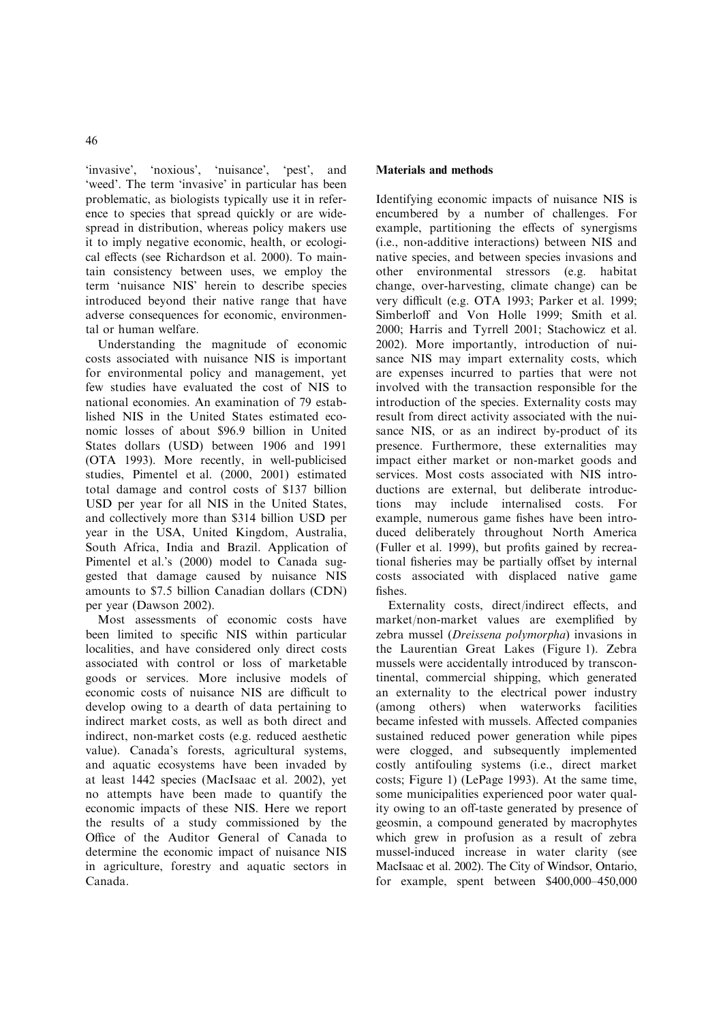'invasive', 'noxious', 'nuisance', 'pest', and 'weed'. The term 'invasive' in particular has been problematic, as biologists typically use it in reference to species that spread quickly or are widespread in distribution, whereas policy makers use it to imply negative economic, health, or ecological effects (see Richardson et al. 2000). To maintain consistency between uses, we employ the term 'nuisance NIS' herein to describe species introduced beyond their native range that have adverse consequences for economic, environmental or human welfare.

Understanding the magnitude of economic costs associated with nuisance NIS is important for environmental policy and management, yet few studies have evaluated the cost of NIS to national economies. An examination of 79 established NIS in the United States estimated economic losses of about \$96.9 billion in United States dollars (USD) between 1906 and 1991 (OTA 1993). More recently, in well-publicised studies, Pimentel et al. (2000, 2001) estimated total damage and control costs of \$137 billion USD per year for all NIS in the United States, and collectively more than \$314 billion USD per year in the USA, United Kingdom, Australia, South Africa, India and Brazil. Application of Pimentel et al.'s (2000) model to Canada suggested that damage caused by nuisance NIS amounts to \$7.5 billion Canadian dollars (CDN) per year (Dawson 2002).

Most assessments of economic costs have been limited to specific NIS within particular localities, and have considered only direct costs associated with control or loss of marketable goods or services. More inclusive models of economic costs of nuisance NIS are difficult to develop owing to a dearth of data pertaining to indirect market costs, as well as both direct and indirect, non-market costs (e.g. reduced aesthetic value). Canada's forests, agricultural systems, and aquatic ecosystems have been invaded by at least 1442 species (MacIsaac et al. 2002), yet no attempts have been made to quantify the economic impacts of these NIS. Here we report the results of a study commissioned by the Office of the Auditor General of Canada to determine the economic impact of nuisance NIS in agriculture, forestry and aquatic sectors in Canada.

## Materials and methods

Identifying economic impacts of nuisance NIS is encumbered by a number of challenges. For example, partitioning the effects of synergisms (i.e., non-additive interactions) between NIS and native species, and between species invasions and other environmental stressors (e.g. habitat change, over-harvesting, climate change) can be very difficult (e.g. OTA 1993; Parker et al. 1999; Simberloff and Von Holle 1999; Smith et al. 2000; Harris and Tyrrell 2001; Stachowicz et al. 2002). More importantly, introduction of nuisance NIS may impart externality costs, which are expenses incurred to parties that were not involved with the transaction responsible for the introduction of the species. Externality costs may result from direct activity associated with the nuisance NIS, or as an indirect by-product of its presence. Furthermore, these externalities may impact either market or non-market goods and services. Most costs associated with NIS introductions are external, but deliberate introductions may include internalised costs. For example, numerous game fishes have been introduced deliberately throughout North America (Fuller et al. 1999), but profits gained by recreational fisheries may be partially offset by internal costs associated with displaced native game fishes.

Externality costs, direct/indirect effects, and market/non-market values are exemplified by zebra mussel (Dreissena polymorpha) invasions in the Laurentian Great Lakes (Figure 1). Zebra mussels were accidentally introduced by transcontinental, commercial shipping, which generated an externality to the electrical power industry (among others) when waterworks facilities became infested with mussels. Affected companies sustained reduced power generation while pipes were clogged, and subsequently implemented costly antifouling systems (i.e., direct market costs; Figure 1) (LePage 1993). At the same time, some municipalities experienced poor water quality owing to an off-taste generated by presence of geosmin, a compound generated by macrophytes which grew in profusion as a result of zebra mussel-induced increase in water clarity (see MacIsaac et al. 2002). The City of Windsor, Ontario, for example, spent between \$400,000–450,000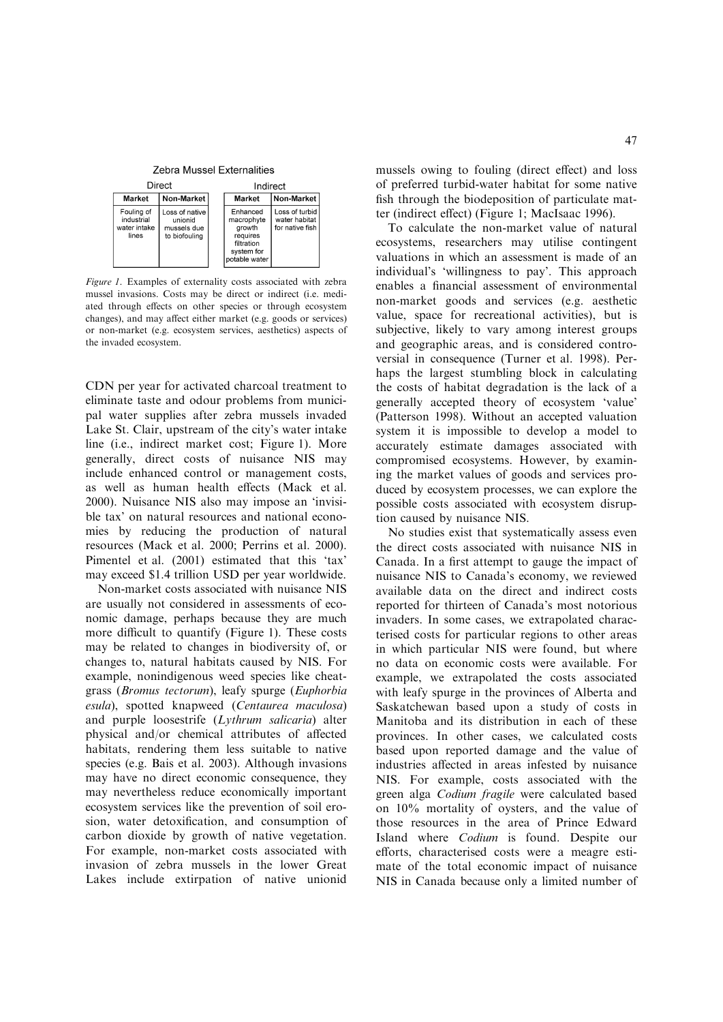

| Direct                                            |                                                           | Indirect                                                                                  |                                                    |  |
|---------------------------------------------------|-----------------------------------------------------------|-------------------------------------------------------------------------------------------|----------------------------------------------------|--|
| <b>Market</b>                                     | Non-Market                                                | <b>Market</b>                                                                             | Non-Market                                         |  |
| Fouling of<br>industrial<br>water intake<br>lines | Loss of native<br>unionid<br>mussels due<br>to biofouling | Enhanced<br>macrophyte<br>growth<br>requires<br>filtration<br>system for<br>potable water | Loss of turbid<br>water habitat<br>for native fish |  |

Figure 1. Examples of externality costs associated with zebra mussel invasions. Costs may be direct or indirect (i.e. mediated through effects on other species or through ecosystem changes), and may affect either market (e.g. goods or services) or non-market (e.g. ecosystem services, aesthetics) aspects of the invaded ecosystem.

CDN per year for activated charcoal treatment to eliminate taste and odour problems from municipal water supplies after zebra mussels invaded Lake St. Clair, upstream of the city's water intake line (i.e., indirect market cost; Figure 1). More generally, direct costs of nuisance NIS may include enhanced control or management costs, as well as human health effects (Mack et al. 2000). Nuisance NIS also may impose an 'invisible tax' on natural resources and national economies by reducing the production of natural resources (Mack et al. 2000; Perrins et al. 2000). Pimentel et al. (2001) estimated that this 'tax' may exceed \$1.4 trillion USD per year worldwide.

Non-market costs associated with nuisance NIS are usually not considered in assessments of economic damage, perhaps because they are much more difficult to quantify (Figure 1). These costs may be related to changes in biodiversity of, or changes to, natural habitats caused by NIS. For example, nonindigenous weed species like cheatgrass (Bromus tectorum), leafy spurge (Euphorbia esula), spotted knapweed (Centaurea maculosa) and purple loosestrife (Lythrum salicaria) alter physical and/or chemical attributes of affected habitats, rendering them less suitable to native species (e.g. Bais et al. 2003). Although invasions may have no direct economic consequence, they may nevertheless reduce economically important ecosystem services like the prevention of soil erosion, water detoxification, and consumption of carbon dioxide by growth of native vegetation. For example, non-market costs associated with invasion of zebra mussels in the lower Great Lakes include extirpation of native unionid

mussels owing to fouling (direct effect) and loss of preferred turbid-water habitat for some native fish through the biodeposition of particulate matter (indirect effect) (Figure 1; MacIsaac 1996).

To calculate the non-market value of natural ecosystems, researchers may utilise contingent valuations in which an assessment is made of an individual's 'willingness to pay'. This approach enables a financial assessment of environmental non-market goods and services (e.g. aesthetic value, space for recreational activities), but is subjective, likely to vary among interest groups and geographic areas, and is considered controversial in consequence (Turner et al. 1998). Perhaps the largest stumbling block in calculating the costs of habitat degradation is the lack of a generally accepted theory of ecosystem 'value' (Patterson 1998). Without an accepted valuation system it is impossible to develop a model to accurately estimate damages associated with compromised ecosystems. However, by examining the market values of goods and services produced by ecosystem processes, we can explore the possible costs associated with ecosystem disruption caused by nuisance NIS.

No studies exist that systematically assess even the direct costs associated with nuisance NIS in Canada. In a first attempt to gauge the impact of nuisance NIS to Canada's economy, we reviewed available data on the direct and indirect costs reported for thirteen of Canada's most notorious invaders. In some cases, we extrapolated characterised costs for particular regions to other areas in which particular NIS were found, but where no data on economic costs were available. For example, we extrapolated the costs associated with leafy spurge in the provinces of Alberta and Saskatchewan based upon a study of costs in Manitoba and its distribution in each of these provinces. In other cases, we calculated costs based upon reported damage and the value of industries affected in areas infested by nuisance NIS. For example, costs associated with the green alga Codium fragile were calculated based on 10% mortality of oysters, and the value of those resources in the area of Prince Edward Island where Codium is found. Despite our efforts, characterised costs were a meagre estimate of the total economic impact of nuisance NIS in Canada because only a limited number of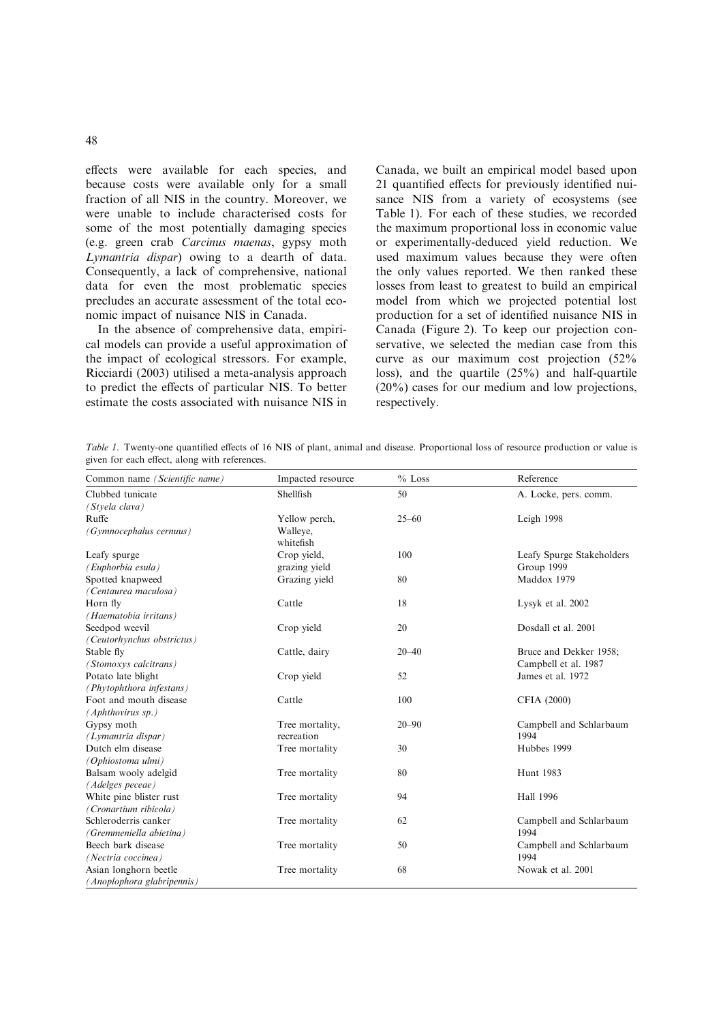effects were available for each species, and because costs were available only for a small fraction of all NIS in the country. Moreover, we were unable to include characterised costs for some of the most potentially damaging species (e.g. green crab Carcinus maenas, gypsy moth Lymantria dispar) owing to a dearth of data. Consequently, a lack of comprehensive, national data for even the most problematic species precludes an accurate assessment of the total economic impact of nuisance NIS in Canada.

In the absence of comprehensive data, empirical models can provide a useful approximation of the impact of ecological stressors. For example, Ricciardi (2003) utilised a meta-analysis approach to predict the effects of particular NIS. To better estimate the costs associated with nuisance NIS in Canada, we built an empirical model based upon 21 quantified effects for previously identified nuisance NIS from a variety of ecosystems (see Table 1). For each of these studies, we recorded the maximum proportional loss in economic value or experimentally-deduced yield reduction. We used maximum values because they were often the only values reported. We then ranked these losses from least to greatest to build an empirical model from which we projected potential lost production for a set of identified nuisance NIS in Canada (Figure 2). To keep our projection conservative, we selected the median case from this curve as our maximum cost projection (52% loss), and the quartile (25%) and half-quartile (20%) cases for our medium and low projections, respectively.

| Common name (Scientific name) | Impacted resource | $%$ Loss  | Reference                 |
|-------------------------------|-------------------|-----------|---------------------------|
| Clubbed tunicate              | Shellfish         | 50        | A. Locke, pers. comm.     |
| (Styela clava)                |                   |           |                           |
| Ruffe                         | Yellow perch,     | $25 - 60$ | Leigh 1998                |
| (Gymnocephalus cernuus)       | Walleye,          |           |                           |
|                               | whitefish         |           |                           |
| Leafy spurge                  | Crop yield,       | 100       | Leafy Spurge Stakeholders |
| (Euphorbia esula)             | grazing yield     |           | Group 1999                |
| Spotted knapweed              | Grazing yield     | 80        | Maddox 1979               |
| (Centaurea maculosa)          |                   |           |                           |
| Horn fly                      | Cattle            | 18        | Lysyk et al. 2002         |
| (Haematobia irritans)         |                   |           |                           |
| Seedpod weevil                | Crop yield        | 20        | Dosdall et al. 2001       |
| (Ceutorhynchus obstrictus)    |                   |           |                           |
| Stable fly                    | Cattle, dairy     | $20 - 40$ | Bruce and Dekker 1958;    |
| (Stomoxys calcitrans)         |                   |           | Campbell et al. 1987      |
| Potato late blight            | Crop yield        | 52        | James et al. 1972         |
| (Phytophthora infestans)      |                   |           |                           |
| Foot and mouth disease        | Cattle            | 100       | CFIA (2000)               |
| (Aphthovirus sp.)             |                   |           |                           |
| Gypsy moth                    | Tree mortality,   | $20 - 90$ | Campbell and Schlarbaum   |
| $(Lymantria$ dispar)          | recreation        |           | 1994                      |
| Dutch elm disease             | Tree mortality    | 30        | Hubbes 1999               |
| (Ophiostoma ulmi)             |                   |           |                           |
| Balsam wooly adelgid          | Tree mortality    | 80        | Hunt 1983                 |
| (Adelges peceae)              |                   |           |                           |
| White pine blister rust       | Tree mortality    | 94        | <b>Hall 1996</b>          |
| (Cronartium ribicola)         |                   |           |                           |
| Schleroderris canker          | Tree mortality    | 62        | Campbell and Schlarbaum   |
| (Gremmeniella abietina)       |                   |           | 1994                      |
| Beech bark disease            | Tree mortality    | 50        | Campbell and Schlarbaum   |
| (Nectria coccinea)            |                   |           | 1994                      |
| Asian longhorn beetle         | Tree mortality    | 68        | Nowak et al. 2001         |
| (Anoplophora glabripennis)    |                   |           |                           |

Table 1. Twenty-one quantified effects of 16 NIS of plant, animal and disease. Proportional loss of resource production or value is given for each effect, along with references.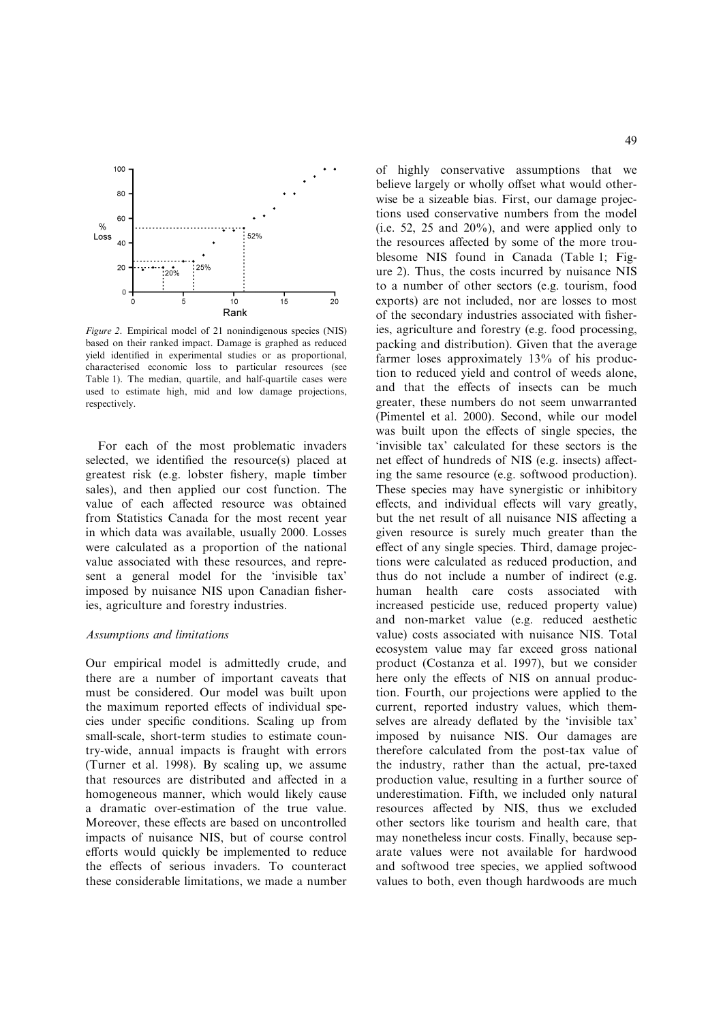

Figure 2. Empirical model of 21 nonindigenous species (NIS) based on their ranked impact. Damage is graphed as reduced yield identified in experimental studies or as proportional, characterised economic loss to particular resources (see Table 1). The median, quartile, and half-quartile cases were used to estimate high, mid and low damage projections, respectively.

For each of the most problematic invaders selected, we identified the resource(s) placed at greatest risk (e.g. lobster fishery, maple timber sales), and then applied our cost function. The value of each affected resource was obtained from Statistics Canada for the most recent year in which data was available, usually 2000. Losses were calculated as a proportion of the national value associated with these resources, and represent a general model for the 'invisible tax' imposed by nuisance NIS upon Canadian fisheries, agriculture and forestry industries.

### Assumptions and limitations

Our empirical model is admittedly crude, and there are a number of important caveats that must be considered. Our model was built upon the maximum reported effects of individual species under specific conditions. Scaling up from small-scale, short-term studies to estimate country-wide, annual impacts is fraught with errors (Turner et al. 1998). By scaling up, we assume that resources are distributed and affected in a homogeneous manner, which would likely cause a dramatic over-estimation of the true value. Moreover, these effects are based on uncontrolled impacts of nuisance NIS, but of course control efforts would quickly be implemented to reduce the effects of serious invaders. To counteract these considerable limitations, we made a number

of highly conservative assumptions that we believe largely or wholly offset what would otherwise be a sizeable bias. First, our damage projections used conservative numbers from the model (i.e. 52, 25 and 20%), and were applied only to the resources affected by some of the more troublesome NIS found in Canada (Table 1; Figure 2). Thus, the costs incurred by nuisance NIS to a number of other sectors (e.g. tourism, food exports) are not included, nor are losses to most of the secondary industries associated with fisheries, agriculture and forestry (e.g. food processing, packing and distribution). Given that the average farmer loses approximately 13% of his production to reduced yield and control of weeds alone, and that the effects of insects can be much greater, these numbers do not seem unwarranted (Pimentel et al. 2000). Second, while our model was built upon the effects of single species, the 'invisible tax' calculated for these sectors is the net effect of hundreds of NIS (e.g. insects) affecting the same resource (e.g. softwood production). These species may have synergistic or inhibitory effects, and individual effects will vary greatly, but the net result of all nuisance NIS affecting a given resource is surely much greater than the effect of any single species. Third, damage projections were calculated as reduced production, and thus do not include a number of indirect (e.g. human health care costs associated with increased pesticide use, reduced property value) and non-market value (e.g. reduced aesthetic value) costs associated with nuisance NIS. Total ecosystem value may far exceed gross national product (Costanza et al. 1997), but we consider here only the effects of NIS on annual production. Fourth, our projections were applied to the current, reported industry values, which themselves are already deflated by the 'invisible tax' imposed by nuisance NIS. Our damages are therefore calculated from the post-tax value of the industry, rather than the actual, pre-taxed production value, resulting in a further source of underestimation. Fifth, we included only natural resources affected by NIS, thus we excluded other sectors like tourism and health care, that may nonetheless incur costs. Finally, because separate values were not available for hardwood and softwood tree species, we applied softwood values to both, even though hardwoods are much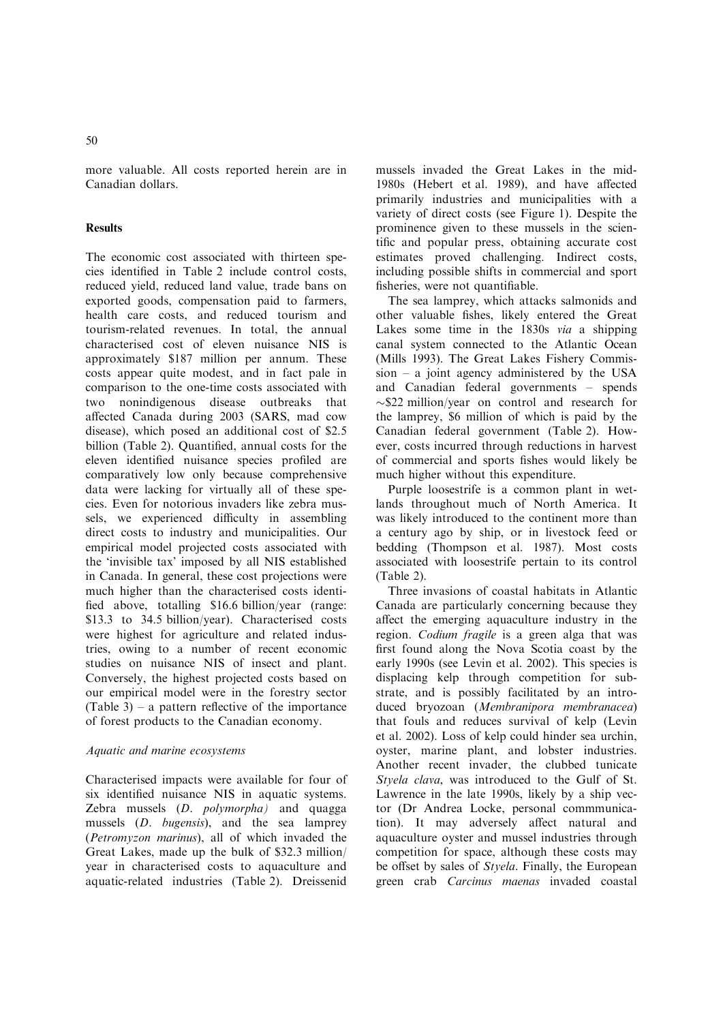more valuable. All costs reported herein are in Canadian dollars.

## Results

The economic cost associated with thirteen species identified in Table 2 include control costs, reduced yield, reduced land value, trade bans on exported goods, compensation paid to farmers, health care costs, and reduced tourism and tourism-related revenues. In total, the annual characterised cost of eleven nuisance NIS is approximately \$187 million per annum. These costs appear quite modest, and in fact pale in comparison to the one-time costs associated with two nonindigenous disease outbreaks that affected Canada during 2003 (SARS, mad cow disease), which posed an additional cost of \$2.5 billion (Table 2). Quantified, annual costs for the eleven identified nuisance species profiled are comparatively low only because comprehensive data were lacking for virtually all of these species. Even for notorious invaders like zebra mussels, we experienced difficulty in assembling direct costs to industry and municipalities. Our empirical model projected costs associated with the 'invisible tax' imposed by all NIS established in Canada. In general, these cost projections were much higher than the characterised costs identified above, totalling \$16.6 billion/year (range: \$13.3 to 34.5 billion/year). Characterised costs were highest for agriculture and related industries, owing to a number of recent economic studies on nuisance NIS of insect and plant. Conversely, the highest projected costs based on our empirical model were in the forestry sector  $(Table 3)$  – a pattern reflective of the importance of forest products to the Canadian economy.

## Aquatic and marine ecosystems

Characterised impacts were available for four of six identified nuisance NIS in aquatic systems. Zebra mussels (D. polymorpha) and quagga mussels (D. bugensis), and the sea lamprey (Petromyzon marinus), all of which invaded the Great Lakes, made up the bulk of \$32.3 million/ year in characterised costs to aquaculture and aquatic-related industries (Table 2). Dreissenid

mussels invaded the Great Lakes in the mid-1980s (Hebert et al. 1989), and have affected primarily industries and municipalities with a variety of direct costs (see Figure 1). Despite the prominence given to these mussels in the scientific and popular press, obtaining accurate cost estimates proved challenging. Indirect costs, including possible shifts in commercial and sport fisheries, were not quantifiable.

The sea lamprey, which attacks salmonids and other valuable fishes, likely entered the Great Lakes some time in the 1830s via a shipping canal system connected to the Atlantic Ocean (Mills 1993). The Great Lakes Fishery Commission – a joint agency administered by the USA and Canadian federal governments – spends  $\sim$ \$22 million/year on control and research for the lamprey, \$6 million of which is paid by the Canadian federal government (Table 2). However, costs incurred through reductions in harvest of commercial and sports fishes would likely be much higher without this expenditure.

Purple loosestrife is a common plant in wetlands throughout much of North America. It was likely introduced to the continent more than a century ago by ship, or in livestock feed or bedding (Thompson et al. 1987). Most costs associated with loosestrife pertain to its control (Table 2).

Three invasions of coastal habitats in Atlantic Canada are particularly concerning because they affect the emerging aquaculture industry in the region. Codium fragile is a green alga that was first found along the Nova Scotia coast by the early 1990s (see Levin et al. 2002). This species is displacing kelp through competition for substrate, and is possibly facilitated by an introduced bryozoan (Membranipora membranacea) that fouls and reduces survival of kelp (Levin et al. 2002). Loss of kelp could hinder sea urchin, oyster, marine plant, and lobster industries. Another recent invader, the clubbed tunicate Styela clava, was introduced to the Gulf of St. Lawrence in the late 1990s, likely by a ship vector (Dr Andrea Locke, personal commmunication). It may adversely affect natural and aquaculture oyster and mussel industries through competition for space, although these costs may be offset by sales of *Styela*. Finally, the European green crab Carcinus maenas invaded coastal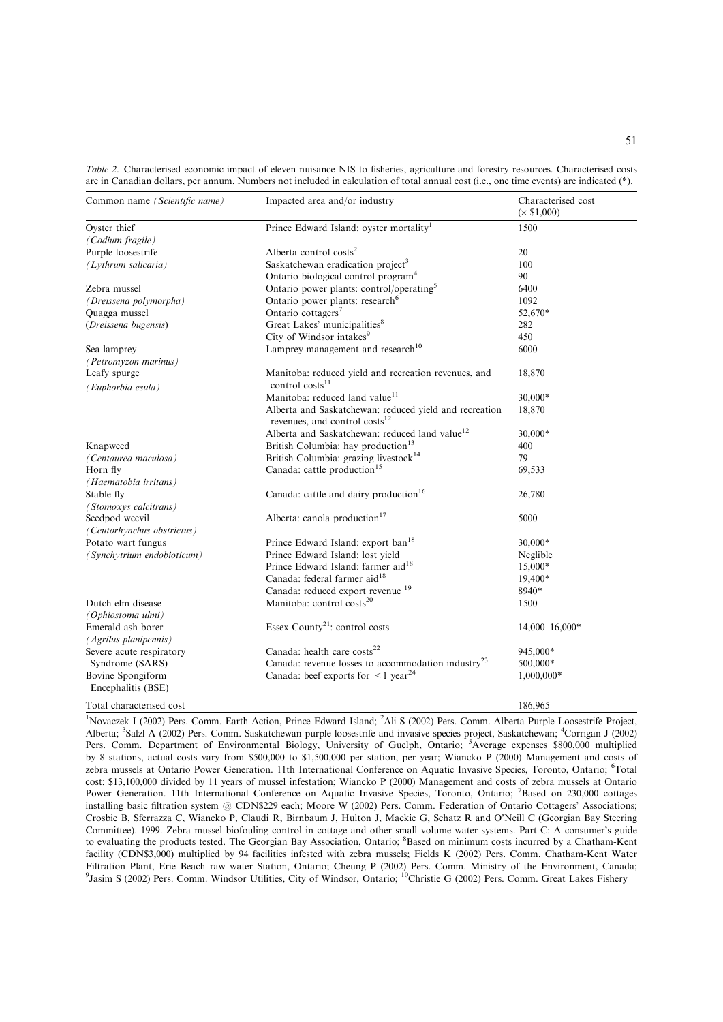Table 2. Characterised economic impact of eleven nuisance NIS to fisheries, agriculture and forestry resources. Characterised costs are in Canadian dollars, per annum. Numbers not included in calculation of total annual cost (i.e., one time events) are indicated (\*).

| Common name (Scientific name) | Impacted area and/or industry                                                                       | Characterised cost<br>(x \$1,000) |
|-------------------------------|-----------------------------------------------------------------------------------------------------|-----------------------------------|
| Oyster thief                  | Prince Edward Island: oyster mortality <sup>1</sup>                                                 | 1500                              |
| (Codium fragile)              |                                                                                                     |                                   |
| Purple loosestrife            | Alberta control costs <sup>2</sup>                                                                  | 20                                |
| (Lythrum salicaria)           | Saskatchewan eradication project <sup>3</sup>                                                       | 100                               |
|                               | Ontario biological control program <sup>4</sup>                                                     | 90                                |
| Zebra mussel                  | Ontario power plants: control/operating <sup>5</sup>                                                | 6400                              |
| (Dreissena polymorpha)        | Ontario power plants: research <sup>6</sup>                                                         | 1092                              |
| Quagga mussel                 | Ontario cottagers <sup>7</sup>                                                                      | 52,670*                           |
| (Dreissena bugensis)          | Great Lakes' municipalities <sup>8</sup>                                                            | 282                               |
|                               | City of Windsor intakes <sup>9</sup>                                                                | 450                               |
| Sea lamprey                   | Lamprey management and research <sup>10</sup>                                                       | 6000                              |
| (Petromyzon marinus)          |                                                                                                     |                                   |
| Leafy spurge                  | Manitoba: reduced yield and recreation revenues, and                                                | 18,870                            |
| (Euphorbia esula)             | control $costs11$                                                                                   |                                   |
|                               | Manitoba: reduced land value <sup>11</sup>                                                          | 30,000*                           |
|                               | Alberta and Saskatchewan: reduced yield and recreation<br>revenues, and control costs <sup>12</sup> | 18,870                            |
|                               | Alberta and Saskatchewan: reduced land value <sup>12</sup>                                          | 30,000*                           |
| Knapweed                      | British Columbia: hay production <sup>13</sup>                                                      | 400                               |
| (Centaurea maculosa)          | British Columbia: grazing livestock <sup>14</sup>                                                   | 79                                |
| Horn fly                      | Canada: cattle production <sup>15</sup>                                                             | 69,533                            |
| (Haematobia irritans)         |                                                                                                     |                                   |
| Stable fly                    | Canada: cattle and dairy production <sup>16</sup>                                                   | 26,780                            |
| (Stomoxys calcitrans)         |                                                                                                     |                                   |
| Seedpod weevil                | Alberta: canola production <sup>17</sup>                                                            | 5000                              |
| (Ceutorhynchus obstrictus)    |                                                                                                     |                                   |
| Potato wart fungus            | Prince Edward Island: export ban <sup>18</sup>                                                      | 30,000*                           |
| (Synchytrium endobioticum)    | Prince Edward Island: lost yield                                                                    | Neglible                          |
|                               | Prince Edward Island: farmer aid <sup>18</sup>                                                      | 15,000*                           |
|                               | Canada: federal farmer aid <sup>18</sup>                                                            | 19,400*                           |
|                               | Canada: reduced export revenue <sup>19</sup>                                                        | 8940*                             |
| Dutch elm disease             | Manitoba: control costs <sup>20</sup>                                                               | 1500                              |
| (Ophiostoma ulmi)             |                                                                                                     |                                   |
| Emerald ash borer             | Essex County <sup>21</sup> : control costs                                                          | 14,000-16,000*                    |
| (Agrilus planipennis)         |                                                                                                     |                                   |
| Severe acute respiratory      | Canada: health care costs <sup>22</sup>                                                             | 945,000*                          |
| Syndrome (SARS)               | Canada: revenue losses to accommodation industry <sup>23</sup>                                      | 500,000*                          |
| Bovine Spongiform             | Canada: beef exports for $\leq 1$ year <sup>24</sup>                                                | 1,000,000*                        |
| Encephalitis (BSE)            |                                                                                                     |                                   |
| Total characterised cost      |                                                                                                     | 186,965                           |

<sup>1</sup>Novaczek I (2002) Pers. Comm. Earth Action, Prince Edward Island; <sup>2</sup>Ali S (2002) Pers. Comm. Alberta Purple Loosestrife Project, Alberta; <sup>3</sup>Salzl A (2002) Pers. Comm. Saskatchewan purple loosestrife and invasive species project, Saskatchewan; <sup>4</sup>Corrigan J (2002) Pers. Comm. Department of Environmental Biology, University of Guelph, Ontario; <sup>5</sup>Average expenses \$800,000 multiplied by 8 stations, actual costs vary from \$500,000 to \$1,500,000 per station, per year; Wiancko P (2000) Management and costs of zebra mussels at Ontario Power Generation. 11th International Conference on Aquatic Invasive Species, Toronto, Ontario; <sup>6</sup>Total cost: \$13,100,000 divided by 11 years of mussel infestation; Wiancko P (2000) Management and costs of zebra mussels at Ontario Power Generation. 11th International Conference on Aquatic Invasive Species, Toronto, Ontario; <sup>7</sup>Based on 230,000 cottages installing basic filtration system @ CDN\$229 each; Moore W (2002) Pers. Comm. Federation of Ontario Cottagers' Associations; Crosbie B, Sferrazza C, Wiancko P, Claudi R, Birnbaum J, Hulton J, Mackie G, Schatz R and O'Neill C (Georgian Bay Steering Committee). 1999. Zebra mussel biofouling control in cottage and other small volume water systems. Part C: A consumer's guide to evaluating the products tested. The Georgian Bay Association, Ontario; <sup>8</sup>Based on minimum costs incurred by a Chatham-Kent facility (CDN\$3,000) multiplied by 94 facilities infested with zebra mussels; Fields K (2002) Pers. Comm. Chatham-Kent Water Filtration Plant, Erie Beach raw water Station, Ontario; Cheung P (2002) Pers. Comm. Ministry of the Environment, Canada; <sup>9</sup>Jasim S (2002) Pers. Comm. Windsor Utilities, City of Windsor, Ontario; <sup>10</sup>Christie G (2002) Pers. Comm. Great Lakes Fishery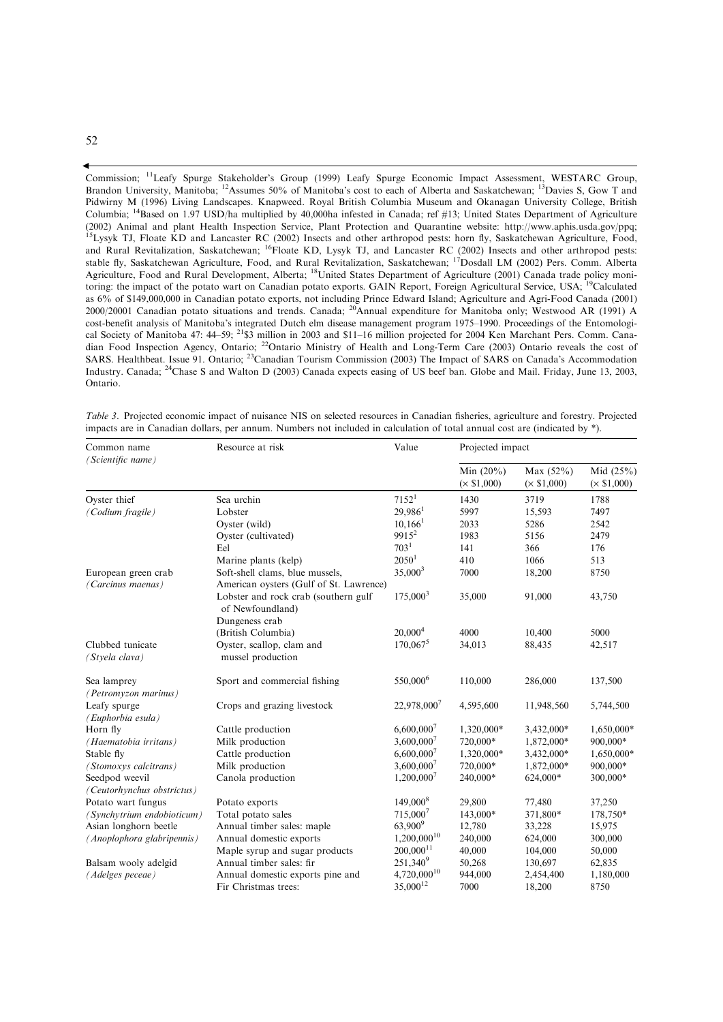Commission; 11Leafy Spurge Stakeholder's Group (1999) Leafy Spurge Economic Impact Assessment, WESTARC Group, Brandon University, Manitoba; <sup>12</sup>Assumes 50% of Manitoba's cost to each of Alberta and Saskatchewan; <sup>13</sup>Davies S, Gow T and Pidwirny M (1996) Living Landscapes. Knapweed. Royal British Columbia Museum and Okanagan University College, British Columbia; 14Based on 1.97 USD/ha multiplied by 40,000ha infested in Canada; ref #13; United States Department of Agriculture (2002) Animal and plant Health Inspection Service, Plant Protection and Quarantine website: http://www.aphis.usda.gov/ppq;<br><sup>15</sup>Lysyk TJ, Floate KD and Lancaster RC (2002) Insects and other arthropod pests: horn fly, Saskat and Rural Revitalization, Saskatchewan; <sup>16</sup>Floate KD, Lysyk TJ, and Lancaster RC (2002) Insects and other arthropod pests: stable fly, Saskatchewan Agriculture, Food, and Rural Revitalization, Saskatchewan; 17Dosdall LM (2002) Pers. Comm. Alberta Agriculture, Food and Rural Development, Alberta; 18United States Department of Agriculture (2001) Canada trade policy monitoring: the impact of the potato wart on Canadian potato exports. GAIN Report, Foreign Agricultural Service, USA; <sup>19</sup>Calculated as 6% of \$149,000,000 in Canadian potato exports, not including Prince Edward Island; Agriculture and Agri-Food Canada (2001) 2000/20001 Canadian potato situations and trends. Canada; 20Annual expenditure for Manitoba only; Westwood AR (1991) A cost-benefit analysis of Manitoba's integrated Dutch elm disease management program 1975–1990. Proceedings of the Entomological Society of Manitoba 47: 44–59; <sup>21</sup>\$3 million in 2003 and \$11–16 million projected for 2004 Ken Marchant Pers. Comm. Canadian Food Inspection Agency, Ontario; 22Ontario Ministry of Health and Long-Term Care (2003) Ontario reveals the cost of SARS. Healthbeat. Issue 91. Ontario; <sup>23</sup>Canadian Tourism Commission (2003) The Impact of SARS on Canada's Accommodation Industry. Canada; 24Chase S and Walton D (2003) Canada expects easing of US beef ban. Globe and Mail. Friday, June 13, 2003, Ontario.

| Common name<br>(Scientific name)    | Resource at risk                                         | Value                   | Projected impact                   |                                   |                          |  |
|-------------------------------------|----------------------------------------------------------|-------------------------|------------------------------------|-----------------------------------|--------------------------|--|
|                                     |                                                          |                         | Min $(20\%)$<br>$(\times \$1,000)$ | Max $(52%)$<br>$(\times \$1,000)$ | Mid $(25%)$<br>(x 1,000) |  |
| Oyster thief                        | Sea urchin                                               | $7152^1$                | 1430                               | 3719                              | 1788                     |  |
| (Codium fragile)                    | Lobster                                                  | 29.986 <sup>1</sup>     | 5997                               | 15,593                            | 7497                     |  |
|                                     | Oyster (wild)                                            | 10.166 <sup>1</sup>     | 2033                               | 5286                              | 2542                     |  |
|                                     | Oyster (cultivated)                                      | $9915^2$                | 1983                               | 5156                              | 2479                     |  |
|                                     | Eel                                                      | 703 <sup>1</sup>        | 141                                | 366                               | 176                      |  |
|                                     | Marine plants (kelp)                                     | $2050^1$                | 410                                | 1066                              | 513                      |  |
| European green crab                 | Soft-shell clams, blue mussels,                          | $35,000^3$              | 7000                               | 18,200                            | 8750                     |  |
| (Carcinus maenas)                   | American oysters (Gulf of St. Lawrence)                  |                         |                                    |                                   |                          |  |
|                                     | Lobster and rock crab (southern gulf<br>of Newfoundland) | $175,000^3$             | 35,000                             | 91,000                            | 43,750                   |  |
|                                     | Dungeness crab                                           |                         |                                    |                                   |                          |  |
|                                     | (British Columbia)                                       | 20,000 <sup>4</sup>     | 4000                               | 10,400                            | 5000                     |  |
| Clubbed tunicate<br>(Styela clava)  | Oyster, scallop, clam and<br>mussel production           | $170,067^5$             | 34,013                             | 88,435                            | 42,517                   |  |
| Sea lamprey<br>(Petromyzon marinus) | Sport and commercial fishing                             | 550,000 <sup>6</sup>    | 110,000                            | 286,000                           | 137,500                  |  |
| Leafy spurge<br>(Euphorbia esula)   | Crops and grazing livestock                              | 22,978,000 <sup>7</sup> | 4,595,600                          | 11,948,560                        | 5,744,500                |  |
| Horn fly                            | Cattle production                                        | $6,600,000^7$           | 1,320,000*                         | 3,432,000*                        | 1,650,000*               |  |
| (Haematobia irritans)               | Milk production                                          | $3,600,000^7$           | 720,000*                           | 1,872,000*                        | 900,000*                 |  |
| Stable fly                          | Cattle production                                        | $6,600,000^7$           | 1,320,000*                         | 3,432,000*                        | 1,650,000*               |  |
| (Stomoxys calcitrans)               | Milk production                                          | $3,600,000^7$           | 720,000*                           | 1,872,000*                        | 900,000*                 |  |
| Seedpod weevil                      | Canola production                                        | 1,200,000 <sup>7</sup>  | 240,000*                           | 624,000*                          | 300,000*                 |  |
| (Ceutorhynchus obstrictus)          |                                                          |                         |                                    |                                   |                          |  |
| Potato wart fungus                  | Potato exports                                           | $149,000^8$             | 29,800                             | 77,480                            | 37,250                   |  |
| (Synchytrium endobioticum)          | Total potato sales                                       | 715,000 <sup>7</sup>    | 143,000*                           | 371,800*                          | 178,750*                 |  |
| Asian longhorn beetle               | Annual timber sales: maple                               | 63,900 <sup>9</sup>     | 12,780                             | 33,228                            | 15,975                   |  |
| (Anoplophora glabripennis)          | Annual domestic exports                                  | $1,200,000^{10}$        | 240,000                            | 624,000                           | 300,000                  |  |
|                                     | Maple syrup and sugar products                           | $200,000$ <sup>11</sup> | 40,000                             | 104,000                           | 50,000                   |  |
| Balsam wooly adelgid                | Annual timber sales: fir                                 | $251,340^9$             | 50,268                             | 130,697                           | 62,835                   |  |
| (Adelges peceae)                    | Annual domestic exports pine and                         | $4,720,000^{10}$        | 944,000                            | 2,454,400                         | 1,180,000                |  |
|                                     | Fir Christmas trees:                                     | $35,000^{12}$           | 7000                               | 18,200                            | 8750                     |  |

Table 3. Projected economic impact of nuisance NIS on selected resources in Canadian fisheries, agriculture and forestry. Projected impacts are in Canadian dollars, per annum. Numbers not included in calculation of total annual cost are (indicated by \*).

*b*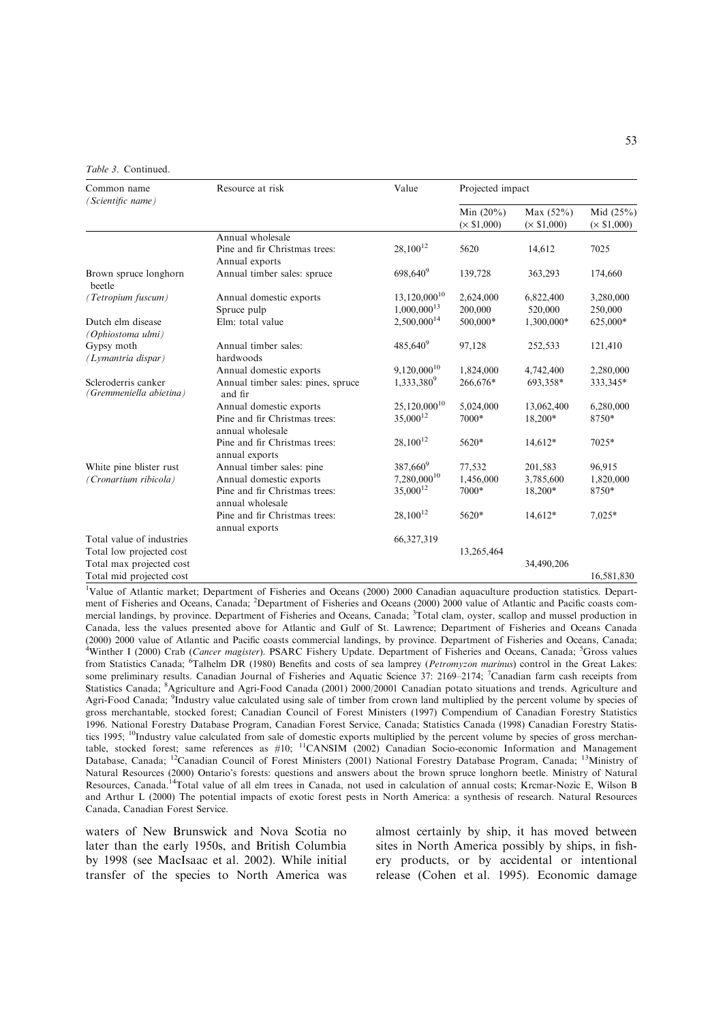| Common name                                    | Resource at risk                                  | Value                     | Projected impact            |                            |                                   |
|------------------------------------------------|---------------------------------------------------|---------------------------|-----------------------------|----------------------------|-----------------------------------|
| (Scientific name)                              |                                                   |                           | Min $(20\%)$<br>(x \$1,000) | Max $(52%)$<br>(x \$1,000) | Mid $(25%)$<br>$(\times \$1,000)$ |
|                                                | Annual wholesale                                  |                           |                             |                            |                                   |
|                                                | Pine and fir Christmas trees:                     | $28,100^{12}$             | 5620                        | 14,612                     | 7025                              |
|                                                | Annual exports                                    |                           |                             |                            |                                   |
| Brown spruce longhorn<br>beetle                | Annual timber sales: spruce                       | 698,640 <sup>9</sup>      | 139,728                     | 363,293                    | 174,660                           |
| (Tetropium fuscum)                             | Annual domestic exports                           | $13,120,000^{10}$         | 2,624,000                   | 6,822,400                  | 3,280,000                         |
|                                                | Spruce pulp                                       | $1,000,000$ <sup>13</sup> | 200,000                     | 520,000                    | 250,000                           |
| Dutch elm disease<br>(Ophiostoma ulmi)         | Elm: total value                                  | $2,500,000$ <sup>14</sup> | 500,000*                    | 1,300,000*                 | 625,000*                          |
| Gypsy moth                                     | Annual timber sales:                              | 485,640 <sup>9</sup>      | 97,128                      | 252,533                    | 121,410                           |
| (Lymantria dispar)                             | hardwoods                                         |                           |                             |                            |                                   |
|                                                | Annual domestic exports                           | $9,120,000^{10}$          | 1,824,000                   | 4,742,400                  | 2,280,000                         |
| Scleroderris canker<br>(Gremmeniella abietina) | Annual timber sales: pines, spruce<br>and fir     | 1,333,380 <sup>9</sup>    | 266,676*                    | 693.358*                   | 333,345*                          |
|                                                | Annual domestic exports                           | $25,120,000^{10}$         | 5,024,000                   | 13,062,400                 | 6,280,000                         |
|                                                | Pine and fir Christmas trees:<br>annual wholesale | $35,000^{12}$             | 7000*                       | 18,200*                    | 8750*                             |
|                                                | Pine and fir Christmas trees:<br>annual exports   | $28,100^{12}$             | 5620*                       | $14,612*$                  | $7025*$                           |
| White pine blister rust                        | Annual timber sales: pine                         | 387.660 <sup>9</sup>      | 77,532                      | 201,583                    | 96,915                            |
| (Cronartium ribicola)                          | Annual domestic exports                           | $7,280,000^{10}$          | 1,456,000                   | 3,785,600                  | 1,820,000                         |
|                                                | Pine and fir Christmas trees:<br>annual wholesale | $35,000^{12}$             | 7000*                       | 18,200*                    | 8750*                             |
|                                                | Pine and fir Christmas trees:<br>annual exports   | $28,100^{12}$             | 5620*                       | 14,612*                    | 7,025*                            |
| Total value of industries                      |                                                   | 66,327,319                |                             |                            |                                   |
| Total low projected cost                       |                                                   |                           | 13,265,464                  |                            |                                   |
| Total max projected cost                       |                                                   |                           |                             | 34,490,206                 |                                   |
| Total mid projected cost                       |                                                   |                           |                             |                            | 16,581,830                        |

<sup>1</sup>Value of Atlantic market; Department of Fisheries and Oceans (2000) 2000 Canadian aquaculture production statistics. Department of Fisheries and Oceans, Canada; <sup>2</sup>Department of Fisheries and Oceans (2000) 2000 value of Atlantic and Pacific coasts commercial landings, by province. Department of Fisheries and Oceans, Canada; <sup>3</sup>Total clam, oyster, scallop and mussel production in Canada, less the values presented above for Atlantic and Gulf of St. Lawrence; Department of Fisheries and Oceans Canada (2000) 2000 value of Atlantic and Pacific coasts commercial landings, by province. Department of Fisheries and Oceans, Canada; <sup>4</sup>Winther I (2000) Crab (Cancer magister). PSARC Fishery Update. Department of Fisheries and Oceans, Canada; <sup>5</sup>Gross values from Statistics Canada; <sup>6</sup>Talhelm DR (1980) Benefits and costs of sea lamprey (Petromyzon marinus) control in the Great Lakes: some preliminary results. Canadian Journal of Fisheries and Aquatic Science 37: 2169-2174; <sup>7</sup>Canadian farm cash receipts from Statistics Canada; <sup>8</sup>Agriculture and Agri-Food Canada (2001) 2000/20001 Canadian potato situations and trends. Agriculture and Agri-Food Canada; <sup>9</sup>Industry value calculated using sale of timber from crown land multiplied by the percent volume by species of gross merchantable, stocked forest; Canadian Council of Forest Ministers (1997) Compendium of Canadian Forestry Statistics 1996. National Forestry Database Program, Canadian Forest Service, Canada; Statistics Canada (1998) Canadian Forestry Statistics 1995; <sup>10</sup>Industry value calculated from sale of domestic exports multiplied by the percent volume by species of gross merchantable, stocked forest; same references as #10; 11CANSIM (2002) Canadian Socio-economic Information and Management Database, Canada; <sup>12</sup>Canadian Council of Forest Ministers (2001) National Forestry Database Program, Canada; <sup>13</sup>Ministry of Natural Resources (2000) Ontario's forests: questions and answers about the brown spruce longhorn beetle. Ministry of Natural Resources, Canada.<sup>14</sup>Total value of all elm trees in Canada, not used in calculation of annual costs; Krcmar-Nozic E, Wilson B and Arthur L (2000) The potential impacts of exotic forest pests in North America: a synthesis of research. Natural Resources Canada, Canadian Forest Service.

waters of New Brunswick and Nova Scotia no later than the early 1950s, and British Columbia by 1998 (see MacIsaac et al. 2002). While initial transfer of the species to North America was

almost certainly by ship, it has moved between sites in North America possibly by ships, in fishery products, or by accidental or intentional release (Cohen et al. 1995). Economic damage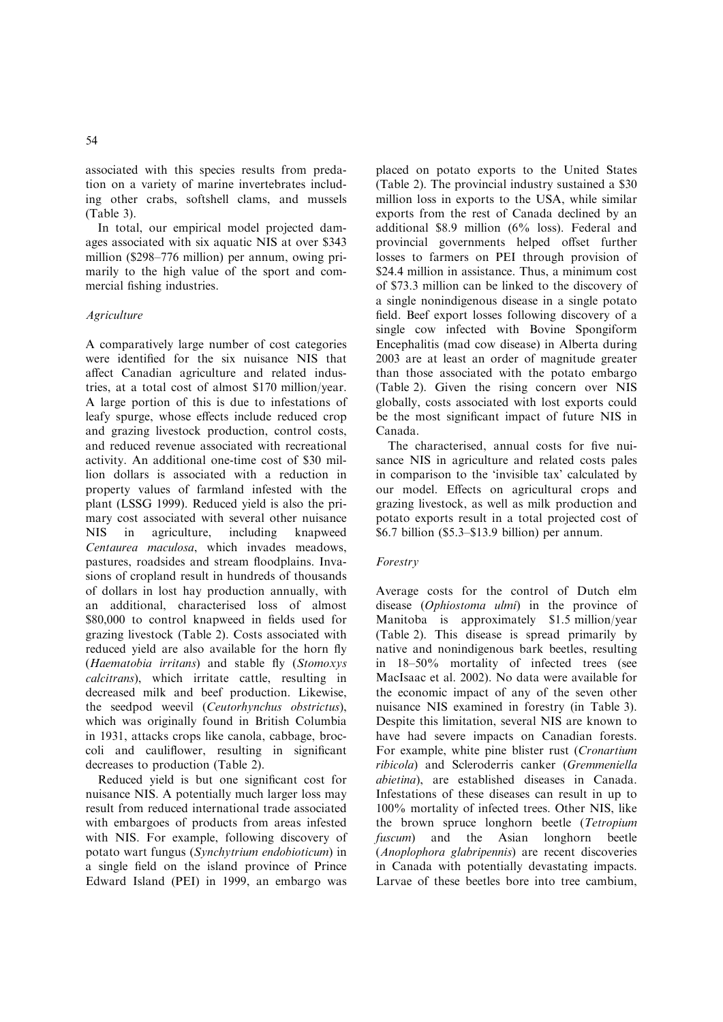associated with this species results from predation on a variety of marine invertebrates including other crabs, softshell clams, and mussels (Table 3).

In total, our empirical model projected damages associated with six aquatic NIS at over \$343 million (\$298–776 million) per annum, owing primarily to the high value of the sport and commercial fishing industries.

### **Agriculture**

A comparatively large number of cost categories were identified for the six nuisance NIS that affect Canadian agriculture and related industries, at a total cost of almost \$170 million/year. A large portion of this is due to infestations of leafy spurge, whose effects include reduced crop and grazing livestock production, control costs, and reduced revenue associated with recreational activity. An additional one-time cost of \$30 million dollars is associated with a reduction in property values of farmland infested with the plant (LSSG 1999). Reduced yield is also the primary cost associated with several other nuisance NIS in agriculture, including knapweed Centaurea maculosa, which invades meadows, pastures, roadsides and stream floodplains. Invasions of cropland result in hundreds of thousands of dollars in lost hay production annually, with an additional, characterised loss of almost \$80,000 to control knapweed in fields used for grazing livestock (Table 2). Costs associated with reduced yield are also available for the horn fly (Haematobia irritans) and stable fly (Stomoxys calcitrans), which irritate cattle, resulting in decreased milk and beef production. Likewise, the seedpod weevil (Ceutorhynchus obstrictus), which was originally found in British Columbia in 1931, attacks crops like canola, cabbage, broccoli and cauliflower, resulting in significant decreases to production (Table 2).

Reduced yield is but one significant cost for nuisance NIS. A potentially much larger loss may result from reduced international trade associated with embargoes of products from areas infested with NIS. For example, following discovery of potato wart fungus (Synchytrium endobioticum) in a single field on the island province of Prince Edward Island (PEI) in 1999, an embargo was

placed on potato exports to the United States (Table 2). The provincial industry sustained a \$30 million loss in exports to the USA, while similar exports from the rest of Canada declined by an additional \$8.9 million (6% loss). Federal and provincial governments helped offset further losses to farmers on PEI through provision of \$24.4 million in assistance. Thus, a minimum cost of \$73.3 million can be linked to the discovery of a single nonindigenous disease in a single potato field. Beef export losses following discovery of a single cow infected with Bovine Spongiform Encephalitis (mad cow disease) in Alberta during 2003 are at least an order of magnitude greater than those associated with the potato embargo (Table 2). Given the rising concern over NIS globally, costs associated with lost exports could be the most significant impact of future NIS in Canada.

The characterised, annual costs for five nuisance NIS in agriculture and related costs pales in comparison to the 'invisible tax' calculated by our model. Effects on agricultural crops and grazing livestock, as well as milk production and potato exports result in a total projected cost of \$6.7 billion (\$5.3–\$13.9 billion) per annum.

#### Forestry

Average costs for the control of Dutch elm disease (*Ophiostoma ulmi*) in the province of Manitoba is approximately \$1.5 million/year (Table 2). This disease is spread primarily by native and nonindigenous bark beetles, resulting in 18–50% mortality of infected trees (see MacIsaac et al. 2002). No data were available for the economic impact of any of the seven other nuisance NIS examined in forestry (in Table 3). Despite this limitation, several NIS are known to have had severe impacts on Canadian forests. For example, white pine blister rust (Cronartium ribicola) and Scleroderris canker (Gremmeniella abietina), are established diseases in Canada. Infestations of these diseases can result in up to 100% mortality of infected trees. Other NIS, like the brown spruce longhorn beetle (Tetropium fuscum) and the Asian longhorn beetle (Anoplophora glabripennis) are recent discoveries in Canada with potentially devastating impacts. Larvae of these beetles bore into tree cambium,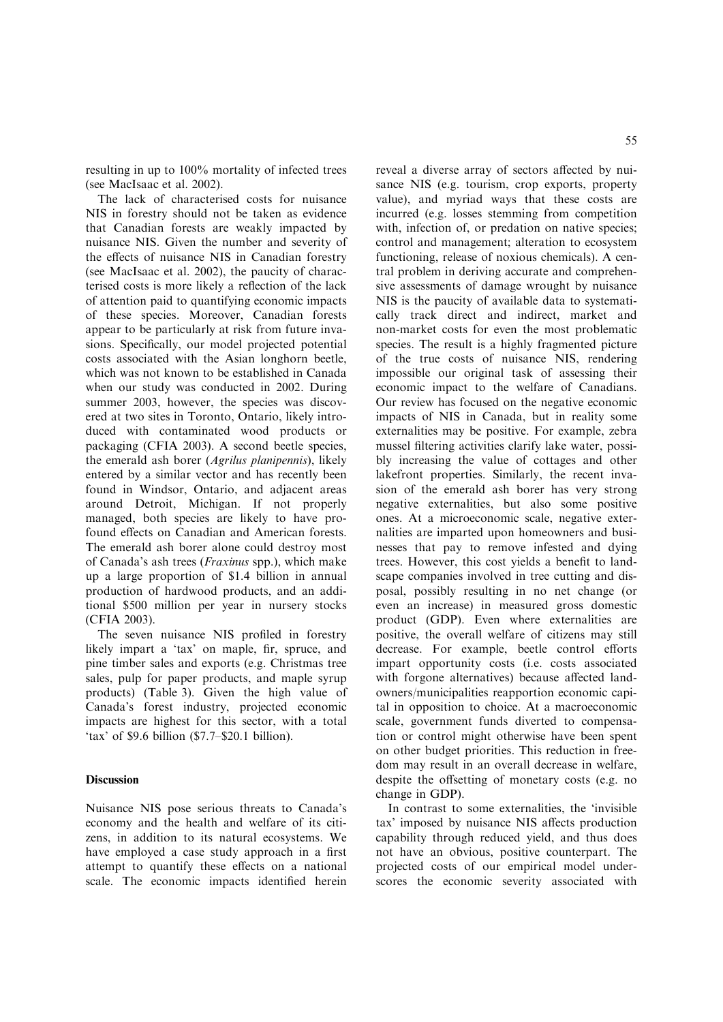resulting in up to 100% mortality of infected trees (see MacIsaac et al. 2002).

The lack of characterised costs for nuisance NIS in forestry should not be taken as evidence that Canadian forests are weakly impacted by nuisance NIS. Given the number and severity of the effects of nuisance NIS in Canadian forestry (see MacIsaac et al. 2002), the paucity of characterised costs is more likely a reflection of the lack of attention paid to quantifying economic impacts of these species. Moreover, Canadian forests appear to be particularly at risk from future invasions. Specifically, our model projected potential costs associated with the Asian longhorn beetle, which was not known to be established in Canada when our study was conducted in 2002. During summer 2003, however, the species was discovered at two sites in Toronto, Ontario, likely introduced with contaminated wood products or packaging (CFIA 2003). A second beetle species, the emerald ash borer (Agrilus planipennis), likely entered by a similar vector and has recently been found in Windsor, Ontario, and adjacent areas around Detroit, Michigan. If not properly managed, both species are likely to have profound effects on Canadian and American forests. The emerald ash borer alone could destroy most of Canada's ash trees (Fraxinus spp.), which make up a large proportion of \$1.4 billion in annual production of hardwood products, and an additional \$500 million per year in nursery stocks (CFIA 2003).

The seven nuisance NIS profiled in forestry likely impart a 'tax' on maple, fir, spruce, and pine timber sales and exports (e.g. Christmas tree sales, pulp for paper products, and maple syrup products) (Table 3). Given the high value of Canada's forest industry, projected economic impacts are highest for this sector, with a total 'tax' of \$9.6 billion (\$7.7–\$20.1 billion).

### **Discussion**

Nuisance NIS pose serious threats to Canada's economy and the health and welfare of its citizens, in addition to its natural ecosystems. We have employed a case study approach in a first attempt to quantify these effects on a national scale. The economic impacts identified herein

reveal a diverse array of sectors affected by nuisance NIS (e.g. tourism, crop exports, property value), and myriad ways that these costs are incurred (e.g. losses stemming from competition with, infection of, or predation on native species; control and management; alteration to ecosystem functioning, release of noxious chemicals). A central problem in deriving accurate and comprehensive assessments of damage wrought by nuisance NIS is the paucity of available data to systematically track direct and indirect, market and non-market costs for even the most problematic species. The result is a highly fragmented picture of the true costs of nuisance NIS, rendering impossible our original task of assessing their economic impact to the welfare of Canadians. Our review has focused on the negative economic impacts of NIS in Canada, but in reality some externalities may be positive. For example, zebra mussel filtering activities clarify lake water, possibly increasing the value of cottages and other lakefront properties. Similarly, the recent invasion of the emerald ash borer has very strong negative externalities, but also some positive ones. At a microeconomic scale, negative externalities are imparted upon homeowners and businesses that pay to remove infested and dying trees. However, this cost yields a benefit to landscape companies involved in tree cutting and disposal, possibly resulting in no net change (or even an increase) in measured gross domestic product (GDP). Even where externalities are positive, the overall welfare of citizens may still decrease. For example, beetle control efforts impart opportunity costs (i.e. costs associated with forgone alternatives) because affected landowners/municipalities reapportion economic capital in opposition to choice. At a macroeconomic scale, government funds diverted to compensation or control might otherwise have been spent on other budget priorities. This reduction in freedom may result in an overall decrease in welfare, despite the offsetting of monetary costs (e.g. no change in GDP).

In contrast to some externalities, the 'invisible tax' imposed by nuisance NIS affects production capability through reduced yield, and thus does not have an obvious, positive counterpart. The projected costs of our empirical model underscores the economic severity associated with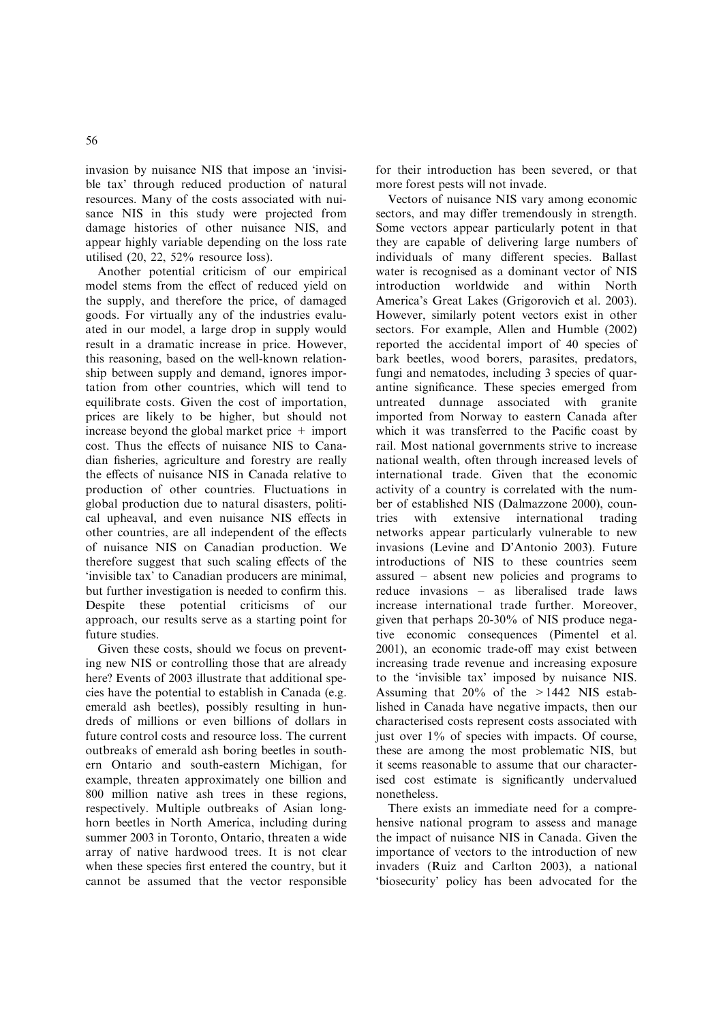invasion by nuisance NIS that impose an 'invisible tax' through reduced production of natural resources. Many of the costs associated with nuisance NIS in this study were projected from damage histories of other nuisance NIS, and appear highly variable depending on the loss rate utilised (20, 22, 52% resource loss).

Another potential criticism of our empirical model stems from the effect of reduced yield on the supply, and therefore the price, of damaged goods. For virtually any of the industries evaluated in our model, a large drop in supply would result in a dramatic increase in price. However, this reasoning, based on the well-known relationship between supply and demand, ignores importation from other countries, which will tend to equilibrate costs. Given the cost of importation, prices are likely to be higher, but should not increase beyond the global market price  $+$  import cost. Thus the effects of nuisance NIS to Canadian fisheries, agriculture and forestry are really the effects of nuisance NIS in Canada relative to production of other countries. Fluctuations in global production due to natural disasters, political upheaval, and even nuisance NIS effects in other countries, are all independent of the effects of nuisance NIS on Canadian production. We therefore suggest that such scaling effects of the 'invisible tax' to Canadian producers are minimal, but further investigation is needed to confirm this. Despite these potential criticisms of our approach, our results serve as a starting point for future studies.

Given these costs, should we focus on preventing new NIS or controlling those that are already here? Events of 2003 illustrate that additional species have the potential to establish in Canada (e.g. emerald ash beetles), possibly resulting in hundreds of millions or even billions of dollars in future control costs and resource loss. The current outbreaks of emerald ash boring beetles in southern Ontario and south-eastern Michigan, for example, threaten approximately one billion and 800 million native ash trees in these regions, respectively. Multiple outbreaks of Asian longhorn beetles in North America, including during summer 2003 in Toronto, Ontario, threaten a wide array of native hardwood trees. It is not clear when these species first entered the country, but it cannot be assumed that the vector responsible

for their introduction has been severed, or that more forest pests will not invade.

Vectors of nuisance NIS vary among economic sectors, and may differ tremendously in strength. Some vectors appear particularly potent in that they are capable of delivering large numbers of individuals of many different species. Ballast water is recognised as a dominant vector of NIS introduction worldwide and within North America's Great Lakes (Grigorovich et al. 2003). However, similarly potent vectors exist in other sectors. For example, Allen and Humble (2002) reported the accidental import of 40 species of bark beetles, wood borers, parasites, predators, fungi and nematodes, including 3 species of quarantine significance. These species emerged from untreated dunnage associated with granite imported from Norway to eastern Canada after which it was transferred to the Pacific coast by rail. Most national governments strive to increase national wealth, often through increased levels of international trade. Given that the economic activity of a country is correlated with the number of established NIS (Dalmazzone 2000), countries with extensive international trading networks appear particularly vulnerable to new invasions (Levine and D'Antonio 2003). Future introductions of NIS to these countries seem assured – absent new policies and programs to reduce invasions – as liberalised trade laws increase international trade further. Moreover, given that perhaps 20-30% of NIS produce negative economic consequences (Pimentel et al. 2001), an economic trade-off may exist between increasing trade revenue and increasing exposure to the 'invisible tax' imposed by nuisance NIS. Assuming that 20% of the >1442 NIS established in Canada have negative impacts, then our characterised costs represent costs associated with just over 1% of species with impacts. Of course, these are among the most problematic NIS, but it seems reasonable to assume that our characterised cost estimate is significantly undervalued nonetheless.

There exists an immediate need for a comprehensive national program to assess and manage the impact of nuisance NIS in Canada. Given the importance of vectors to the introduction of new invaders (Ruiz and Carlton 2003), a national 'biosecurity' policy has been advocated for the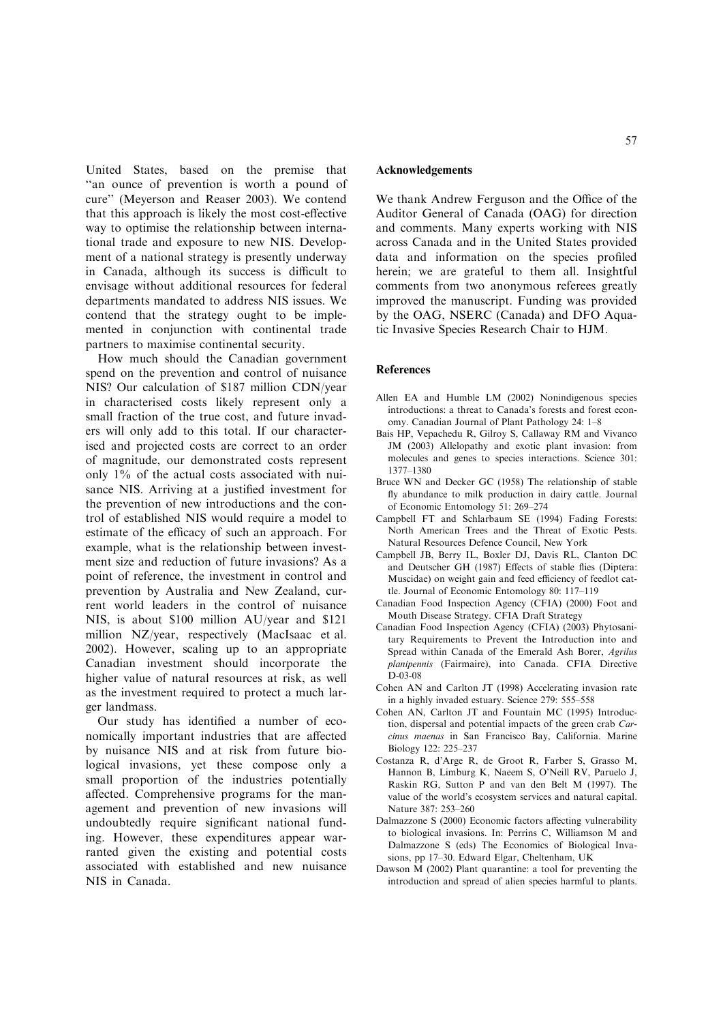United States, based on the premise that ''an ounce of prevention is worth a pound of cure'' (Meyerson and Reaser 2003). We contend that this approach is likely the most cost-effective way to optimise the relationship between international trade and exposure to new NIS. Development of a national strategy is presently underway in Canada, although its success is difficult to envisage without additional resources for federal departments mandated to address NIS issues. We contend that the strategy ought to be implemented in conjunction with continental trade partners to maximise continental security.

How much should the Canadian government spend on the prevention and control of nuisance NIS? Our calculation of \$187 million CDN/year in characterised costs likely represent only a small fraction of the true cost, and future invaders will only add to this total. If our characterised and projected costs are correct to an order of magnitude, our demonstrated costs represent only 1% of the actual costs associated with nuisance NIS. Arriving at a justified investment for the prevention of new introductions and the control of established NIS would require a model to estimate of the efficacy of such an approach. For example, what is the relationship between investment size and reduction of future invasions? As a point of reference, the investment in control and prevention by Australia and New Zealand, current world leaders in the control of nuisance NIS, is about \$100 million AU/year and \$121 million NZ/year, respectively (MacIsaac et al. 2002). However, scaling up to an appropriate Canadian investment should incorporate the higher value of natural resources at risk, as well as the investment required to protect a much larger landmass.

Our study has identified a number of economically important industries that are affected by nuisance NIS and at risk from future biological invasions, yet these compose only a small proportion of the industries potentially affected. Comprehensive programs for the management and prevention of new invasions will undoubtedly require significant national funding. However, these expenditures appear warranted given the existing and potential costs associated with established and new nuisance NIS in Canada.

## Acknowledgements

We thank Andrew Ferguson and the Office of the Auditor General of Canada (OAG) for direction and comments. Many experts working with NIS across Canada and in the United States provided data and information on the species profiled herein; we are grateful to them all. Insightful comments from two anonymous referees greatly improved the manuscript. Funding was provided by the OAG, NSERC (Canada) and DFO Aquatic Invasive Species Research Chair to HJM.

#### References

- Allen EA and Humble LM (2002) Nonindigenous species introductions: a threat to Canada's forests and forest economy. Canadian Journal of Plant Pathology 24: 1–8
- Bais HP, Vepachedu R, Gilroy S, Callaway RM and Vivanco JM (2003) Allelopathy and exotic plant invasion: from molecules and genes to species interactions. Science 301: 1377–1380
- Bruce WN and Decker GC (1958) The relationship of stable fly abundance to milk production in dairy cattle. Journal of Economic Entomology 51: 269–274
- Campbell FT and Schlarbaum SE (1994) Fading Forests: North American Trees and the Threat of Exotic Pests. Natural Resources Defence Council, New York
- Campbell JB, Berry IL, Boxler DJ, Davis RL, Clanton DC and Deutscher GH (1987) Effects of stable flies (Diptera: Muscidae) on weight gain and feed efficiency of feedlot cattle. Journal of Economic Entomology 80: 117–119
- Canadian Food Inspection Agency (CFIA) (2000) Foot and Mouth Disease Strategy. CFIA Draft Strategy
- Canadian Food Inspection Agency (CFIA) (2003) Phytosanitary Requirements to Prevent the Introduction into and Spread within Canada of the Emerald Ash Borer, Agrilus planipennis (Fairmaire), into Canada. CFIA Directive D-03-08
- Cohen AN and Carlton JT (1998) Accelerating invasion rate in a highly invaded estuary. Science 279: 555–558
- Cohen AN, Carlton JT and Fountain MC (1995) Introduction, dispersal and potential impacts of the green crab Carcinus maenas in San Francisco Bay, California. Marine Biology 122: 225–237
- Costanza R, d'Arge R, de Groot R, Farber S, Grasso M, Hannon B, Limburg K, Naeem S, O'Neill RV, Paruelo J, Raskin RG, Sutton P and van den Belt M (1997). The value of the world's ecosystem services and natural capital. Nature 387: 253–260
- Dalmazzone S (2000) Economic factors affecting vulnerability to biological invasions. In: Perrins C, Williamson M and Dalmazzone S (eds) The Economics of Biological Invasions, pp 17–30. Edward Elgar, Cheltenham, UK
- Dawson M (2002) Plant quarantine: a tool for preventing the introduction and spread of alien species harmful to plants.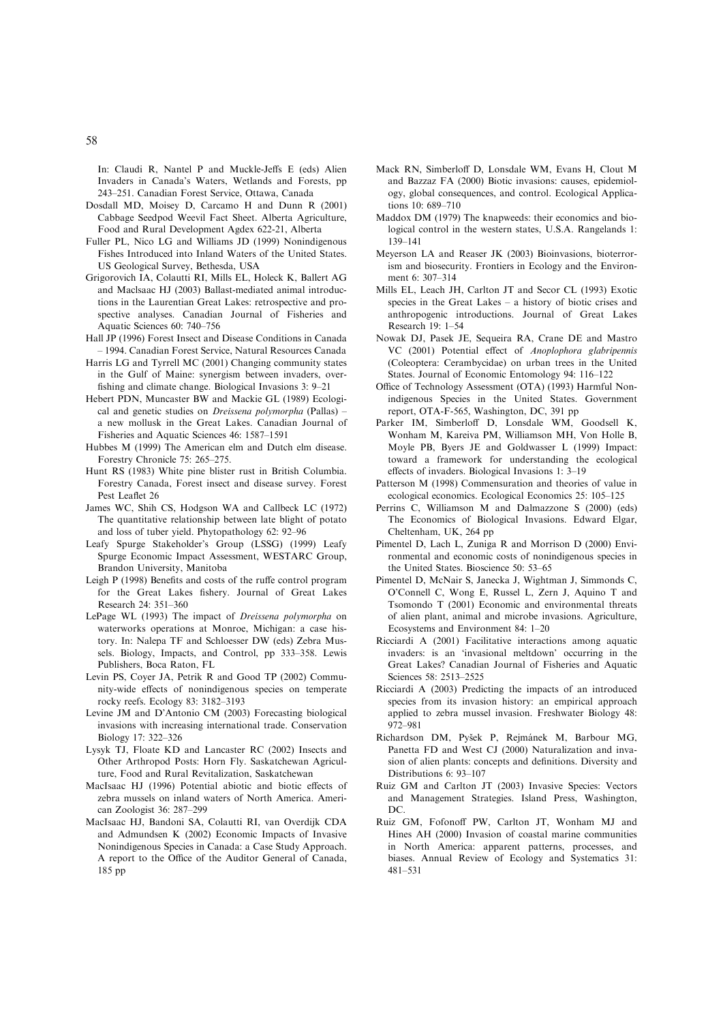In: Claudi R, Nantel P and Muckle-Jeffs E (eds) Alien Invaders in Canada's Waters, Wetlands and Forests, pp 243–251. Canadian Forest Service, Ottawa, Canada

- Dosdall MD, Moisey D, Carcamo H and Dunn R (2001) Cabbage Seedpod Weevil Fact Sheet. Alberta Agriculture, Food and Rural Development Agdex 622-21, Alberta
- Fuller PL, Nico LG and Williams JD (1999) Nonindigenous Fishes Introduced into Inland Waters of the United States. US Geological Survey, Bethesda, USA
- Grigorovich IA, Colautti RI, Mills EL, Holeck K, Ballert AG and Maclsaac HJ (2003) Ballast-mediated animal introductions in the Laurentian Great Lakes: retrospective and prospective analyses. Canadian Journal of Fisheries and Aquatic Sciences 60: 740–756
- Hall JP (1996) Forest Insect and Disease Conditions in Canada – 1994. Canadian Forest Service, Natural Resources Canada
- Harris LG and Tyrrell MC (2001) Changing community states in the Gulf of Maine: synergism between invaders, overfishing and climate change. Biological Invasions 3: 9–21
- Hebert PDN, Muncaster BW and Mackie GL (1989) Ecological and genetic studies on Dreissena polymorpha (Pallas) – a new mollusk in the Great Lakes. Canadian Journal of Fisheries and Aquatic Sciences 46: 1587–1591

Hubbes M (1999) The American elm and Dutch elm disease. Forestry Chronicle 75: 265–275.

- Hunt RS (1983) White pine blister rust in British Columbia. Forestry Canada, Forest insect and disease survey. Forest Pest Leaflet 26
- James WC, Shih CS, Hodgson WA and Callbeck LC (1972) The quantitative relationship between late blight of potato and loss of tuber yield. Phytopathology 62: 92–96
- Leafy Spurge Stakeholder's Group (LSSG) (1999) Leafy Spurge Economic Impact Assessment, WESTARC Group, Brandon University, Manitoba
- Leigh P (1998) Benefits and costs of the ruffe control program for the Great Lakes fishery. Journal of Great Lakes Research 24: 351–360
- LePage WL (1993) The impact of Dreissena polymorpha on waterworks operations at Monroe, Michigan: a case history. In: Nalepa TF and Schloesser DW (eds) Zebra Mussels. Biology, Impacts, and Control, pp 333–358. Lewis Publishers, Boca Raton, FL
- Levin PS, Coyer JA, Petrik R and Good TP (2002) Community-wide effects of nonindigenous species on temperate rocky reefs. Ecology 83: 3182–3193
- Levine JM and D'Antonio CM (2003) Forecasting biological invasions with increasing international trade. Conservation Biology 17: 322–326
- Lysyk TJ, Floate KD and Lancaster RC (2002) Insects and Other Arthropod Posts: Horn Fly. Saskatchewan Agriculture, Food and Rural Revitalization, Saskatchewan
- MacIsaac HJ (1996) Potential abiotic and biotic effects of zebra mussels on inland waters of North America. American Zoologist 36: 287–299
- MacIsaac HJ, Bandoni SA, Colautti RI, van Overdijk CDA and Admundsen K (2002) Economic Impacts of Invasive Nonindigenous Species in Canada: a Case Study Approach. A report to the Office of the Auditor General of Canada, 185 pp
- Mack RN, Simberloff D, Lonsdale WM, Evans H, Clout M and Bazzaz FA (2000) Biotic invasions: causes, epidemiology, global consequences, and control. Ecological Applications 10: 689–710
- Maddox DM (1979) The knapweeds: their economics and biological control in the western states, U.S.A. Rangelands 1: 139–141
- Meyerson LA and Reaser JK (2003) Bioinvasions, bioterrorism and biosecurity. Frontiers in Ecology and the Environment 6: 307–314
- Mills EL, Leach JH, Carlton JT and Secor CL (1993) Exotic species in the Great Lakes – a history of biotic crises and anthropogenic introductions. Journal of Great Lakes Research 19: 1–54
- Nowak DJ, Pasek JE, Sequeira RA, Crane DE and Mastro VC (2001) Potential effect of Anoplophora glabripennis (Coleoptera: Cerambycidae) on urban trees in the United States. Journal of Economic Entomology 94: 116–122
- Office of Technology Assessment (OTA) (1993) Harmful Nonindigenous Species in the United States. Government report, OTA-F-565, Washington, DC, 391 pp
- Parker IM, Simberloff D, Lonsdale WM, Goodsell K, Wonham M, Kareiva PM, Williamson MH, Von Holle B, Moyle PB, Byers JE and Goldwasser L (1999) Impact: toward a framework for understanding the ecological effects of invaders. Biological Invasions 1: 3–19
- Patterson M (1998) Commensuration and theories of value in ecological economics. Ecological Economics 25: 105–125
- Perrins C, Williamson M and Dalmazzone S (2000) (eds) The Economics of Biological Invasions. Edward Elgar, Cheltenham, UK, 264 pp
- Pimentel D, Lach L, Zuniga R and Morrison D (2000) Environmental and economic costs of nonindigenous species in the United States. Bioscience 50: 53–65
- Pimentel D, McNair S, Janecka J, Wightman J, Simmonds C, O'Connell C, Wong E, Russel L, Zern J, Aquino T and Tsomondo T (2001) Economic and environmental threats of alien plant, animal and microbe invasions. Agriculture, Ecosystems and Environment 84: 1–20
- Ricciardi A (2001) Facilitative interactions among aquatic invaders: is an 'invasional meltdown' occurring in the Great Lakes? Canadian Journal of Fisheries and Aquatic Sciences 58: 2513–2525
- Ricciardi A (2003) Predicting the impacts of an introduced species from its invasion history: an empirical approach applied to zebra mussel invasion. Freshwater Biology 48: 972–981
- Richardson DM, Pyšek P, Rejmánek M, Barbour MG, Panetta FD and West CJ (2000) Naturalization and invasion of alien plants: concepts and definitions. Diversity and Distributions 6: 93–107
- Ruiz GM and Carlton JT (2003) Invasive Species: Vectors and Management Strategies. Island Press, Washington, DC.
- Ruiz GM, Fofonoff PW, Carlton JT, Wonham MJ and Hines AH (2000) Invasion of coastal marine communities in North America: apparent patterns, processes, and biases. Annual Review of Ecology and Systematics 31: 481–531